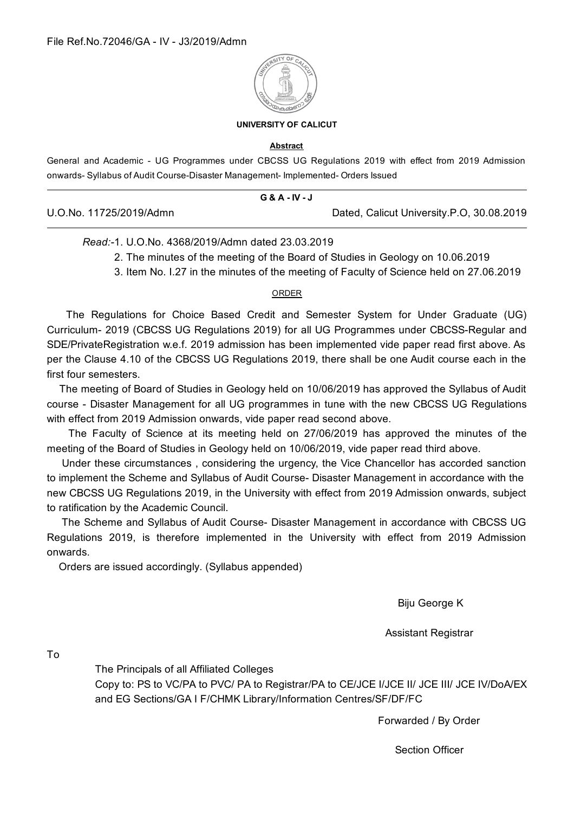

#### **UNIVERSITY OF CALICUT**

#### **Abstract**

General and Academic - UG Programmes under CBCSS UG Regulations 2019 with effect from 2019 Admission onwards- Syllabus of Audit Course-Disaster Management- Implemented- Orders Issued

|                         | <b>G &amp; A - IV - J</b> |                                           |
|-------------------------|---------------------------|-------------------------------------------|
| U.O.No. 11725/2019/Admn |                           | Dated, Calicut University.P.O, 30.08.2019 |

#### Read:-1 U O No. 4368/2019/Admn dated 23 03 2019

- 2. The minutes of the meeting of the Board of Studies in Geology on 10.06.2019
- 3. Item No. 1.27 in the minutes of the meeting of Faculty of Science held on 27.06.2019

#### ORDER

The Regulations for Choice Based Credit and Semester System for Under Graduate (UG) Curriculum- 2019 (CBCSS UG Regulations 2019) for all UG Programmes under CBCSS-Regular and SDE/PrivateRegistration w.e.f. 2019 admission has been implemented vide paper read first above. As per the Clause 4.10 of the CBCSS UG Regulations 2019, there shall be one Audit course each in the first four semesters.

The meeting of Board of Studies in Geology held on 10/06/2019 has approved the Syllabus of Audit course - Disaster Management for all UG programmes in tune with the new CBCSS UG Regulations with effect from 2019 Admission onwards, vide paper read second above.

The Faculty of Science at its meeting held on 27/06/2019 has approved the minutes of the meeting of the Board of Studies in Geology held on 10/06/2019, vide paper read third above.

Under these circumstances, considering the urgency, the Vice Chancellor has accorded sanction to implement the Scheme and Syllabus of Audit Course- Disaster Management in accordance with the new CBCSS UG Regulations 2019, in the University with effect from 2019 Admission onwards, subject to ratification by the Academic Council.

The Scheme and Syllabus of Audit Course- Disaster Management in accordance with CBCSS UG Regulations 2019, is therefore implemented in the University with effect from 2019 Admission onwards.

Orders are issued accordingly. (Syllabus appended)

Biju George K

**Assistant Registrar** 

 $To$ 

The Principals of all Affiliated Colleges

Copy to: PS to VC/PA to PVC/ PA to Registrar/PA to CE/JCE I/JCE II/ JCE III/ JCE IV/DoA/EX and EG Sections/GA I F/CHMK Library/Information Centres/SF/DF/FC

Forwarded / By Order

**Section Officer**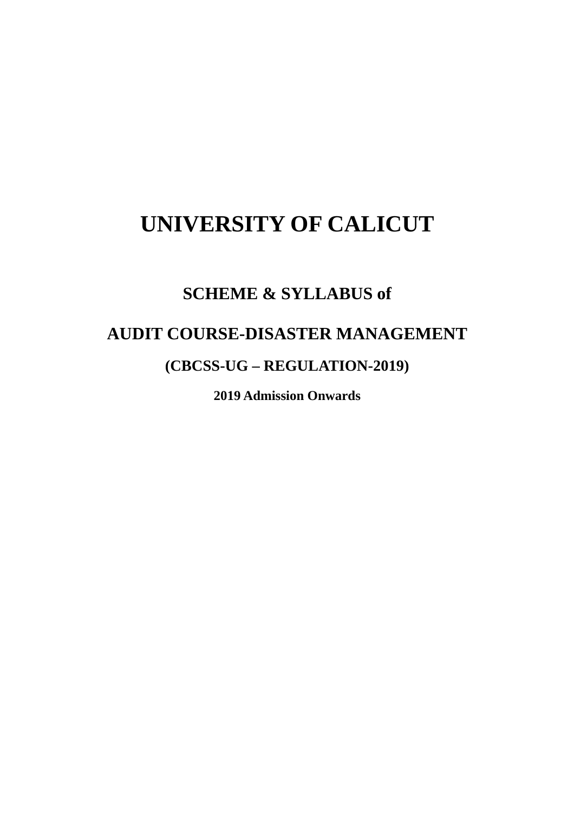# **UNIVERSITY OF CALICUT**

# **SCHEME & SYLLABUS of**

# **AUDIT COURSE-DISASTER MANAGEMENT**

## (CBCSS-UG – REGULATION-2019)

**2019 Admission Onwards**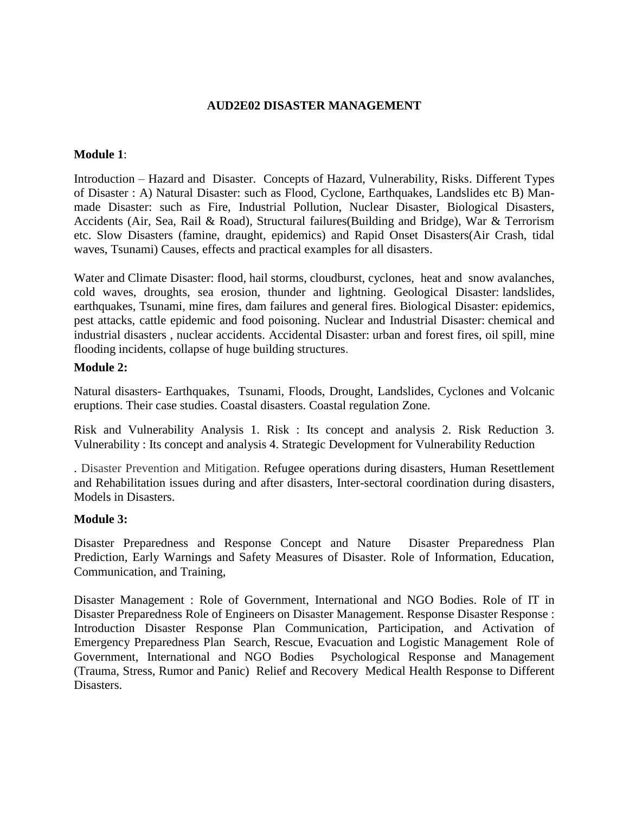### **AUD2E02 DISASTER MANAGEMENT**

### **Module 1**:

Introduction – Hazard and Disaster. Concepts of Hazard, Vulnerability, Risks. Different Types of Disaster : A) Natural Disaster: such as Flood, Cyclone, Earthquakes, Landslides etc B) Manmade Disaster: such as Fire, Industrial Pollution, Nuclear Disaster, Biological Disasters, Accidents (Air, Sea, Rail & Road), Structural failures(Building and Bridge), War & Terrorism etc. Slow Disasters (famine, draught, epidemics) and Rapid Onset Disasters(Air Crash, tidal waves, Tsunami) Causes, effects and practical examples for all disasters.

Water and Climate Disaster: flood, hail storms, cloudburst, cyclones, heat and snow avalanches, cold waves, droughts, sea erosion, thunder and lightning. Geological Disaster: landslides, earthquakes, Tsunami, mine fires, dam failures and general fires. Biological Disaster: epidemics, pest attacks, cattle epidemic and food poisoning. Nuclear and Industrial Disaster: chemical and industrial disasters , nuclear accidents. Accidental Disaster: urban and forest fires, oil spill, mine flooding incidents, collapse of huge building structures.

#### **Module 2:**

Natural disasters- Earthquakes, Tsunami, Floods, Drought, Landslides, Cyclones and Volcanic eruptions. Their case studies. Coastal disasters. Coastal regulation Zone.

Risk and Vulnerability Analysis 1. Risk : Its concept and analysis 2. Risk Reduction 3. Vulnerability : Its concept and analysis 4. Strategic Development for Vulnerability Reduction

. Disaster Prevention and Mitigation. Refugee operations during disasters, Human Resettlement and Rehabilitation issues during and after disasters, Inter-sectoral coordination during disasters, Models in Disasters.

#### **Module 3:**

Disaster Preparedness and Response Concept and Nature Disaster Preparedness Plan Prediction, Early Warnings and Safety Measures of Disaster. Role of Information, Education, Communication, and Training,

Disaster Management : Role of Government, International and NGO Bodies. Role of IT in Disaster Preparedness Role of Engineers on Disaster Management. Response Disaster Response : Introduction Disaster Response Plan Communication, Participation, and Activation of Emergency Preparedness Plan Search, Rescue, Evacuation and Logistic Management Role of Government, International and NGO Bodies Psychological Response and Management (Trauma, Stress, Rumor and Panic) Relief and Recovery Medical Health Response to Different Disasters.